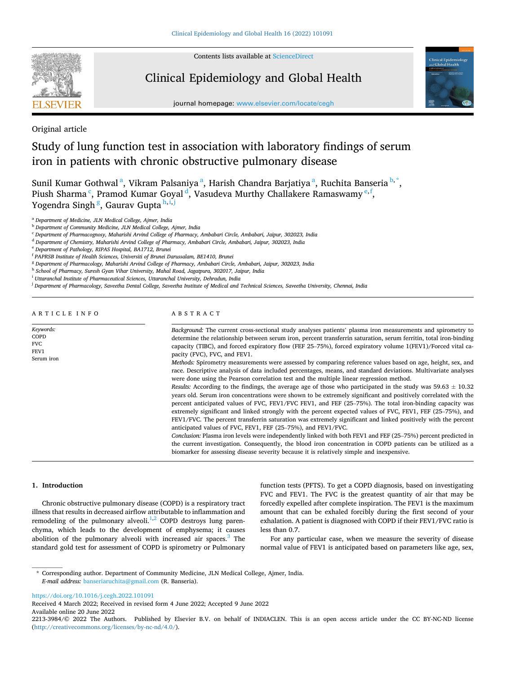

Contents lists available at [ScienceDirect](www.sciencedirect.com/science/journal/22133984)

## Clinical Epidemiology and Global Health



journal homepage: [www.elsevier.com/locate/cegh](https://www.elsevier.com/locate/cegh)

Original article

# Study of lung function test in association with laboratory findings of serum iron in patients with chronic obstructive pulmonary disease

Sunil Kumar Gothwal<sup>a</sup>, Vikram Palsaniya<sup>a</sup>, Harish Chandra Barjatiya<sup>a</sup>, Ruchita Banseria<sup>b,\*</sup>, Piush Sharma<sup>c</sup>, Pramod Kumar Goyal<sup>d</sup>, Vasudeva Murthy Challakere Ramaswamy<sup>e, f</sup>, Yogendra Singh <sup>g</sup>, Gaurav Gupta <sup>h,i,j</sup>

<sup>a</sup> *Department of Medicine, JLN Medical College, Ajmer, India* 

<sup>b</sup> *Department of Community Medicine, JLN Medical College, Ajmer, India* 

<sup>c</sup> *Department of Pharmacognosy, Maharishi Arvind College of Pharmacy, Ambabari Circle, Ambabari, Jaipur, 302023, India* 

<sup>d</sup> *Department of Chemistry, Maharishi Arvind College of Pharmacy, Ambabari Circle, Ambabari, Jaipur, 302023, India* 

<sup>e</sup> *Department of Pathology, RIPAS Hospital, BA1712, Brunei* 

- <sup>h</sup> *School of Pharmacy, Suresh Gyan Vihar University, Mahal Road, Jagatpura, 302017, Jaipur, India*
- <sup>i</sup> *Uttaranchal Institute of Pharmaceutical Sciences, Uttaranchal University, Dehradun, India*

<sup>j</sup> *Department of Pharmacology, Saveetha Dental College, Saveetha Institute of Medical and Technical Sciences, Saveetha University, Chennai, India* 

ARTICLE INFO

*Keywords:*  COPD FVC FEV1 Serum iron

## ABSTRACT

*Background:* The current cross-sectional study analyses patients' plasma iron measurements and spirometry to determine the relationship between serum iron, percent transferrin saturation, serum ferritin, total iron-binding capacity (TIBC), and forced expiratory flow (FEF 25–75%), forced expiratory volume 1(FEV1)/Forced vital capacity (FVC), FVC, and FEV1.

*Methods:* Spirometry measurements were assessed by comparing reference values based on age, height, sex, and race. Descriptive analysis of data included percentages, means, and standard deviations. Multivariate analyses were done using the Pearson correlation test and the multiple linear regression method.

*Results:* According to the findings, the average age of those who participated in the study was  $59.63 \pm 10.32$ years old. Serum iron concentrations were shown to be extremely significant and positively correlated with the percent anticipated values of FVC, FEV1/FVC FEV1, and FEF (25–75%). The total iron-binding capacity was extremely significant and linked strongly with the percent expected values of FVC, FEV1, FEF (25–75%), and FEV1/FVC. The percent transferrin saturation was extremely significant and linked positively with the percent anticipated values of FVC, FEV1, FEF (25–75%), and FEV1/FVC.

*Conclusion:* Plasma iron levels were independently linked with both FEV1 and FEF (25–75%) percent predicted in the current investigation. Consequently, the blood iron concentration in COPD patients can be utilized as a biomarker for assessing disease severity because it is relatively simple and inexpensive.

#### **1. Introduction**

Chronic obstructive pulmonary disease (COPD) is a respiratory tract illness that results in decreased airflow attributable to inflammation and remodeling of the pulmonary alveoli.<sup>1,2</sup> COPD destroys lung parenchyma, which leads to the development of emphysema; it causes abolition of the pulmonary alveoli with increased air spaces. $3$  The standard gold test for assessment of COPD is spirometry or Pulmonary function tests (PFTS). To get a COPD diagnosis, based on investigating FVC and FEV1. The FVC is the greatest quantity of air that may be forcedly expelled after complete inspiration. The FEV1 is the maximum amount that can be exhaled forcibly during the first second of your exhalation. A patient is diagnosed with COPD if their FEV1/FVC ratio is less than 0.7.

For any particular case, when we measure the severity of disease normal value of FEV1 is anticipated based on parameters like age, sex,

<https://doi.org/10.1016/j.cegh.2022.101091>

Available online 20 June 2022 Received 4 March 2022; Received in revised form 4 June 2022; Accepted 9 June 2022

2213-3984/© 2022 The Authors. Published by Elsevier B.V. on behalf of INDIACLEN. This is an open access article under the CC BY-NC-ND license [\(http://creativecommons.org/licenses/by-nc-nd/4.0/\)](http://creativecommons.org/licenses/by-nc-nd/4.0/).

<sup>f</sup> *PAPRSB Institute of Health Sciences, Universiti of Brunei Darussalam, BE1410, Brunei* 

<sup>g</sup> *Department of Pharmacology, Maharishi Arvind College of Pharmacy, Ambabari Circle, Ambabari, Jaipur, 302023, India* 

<sup>\*</sup> Corresponding author. Department of Community Medicine, JLN Medical College, Ajmer, India. *E-mail address:* [banseriaruchita@gmail.com](mailto:banseriaruchita@gmail.com) (R. Banseria).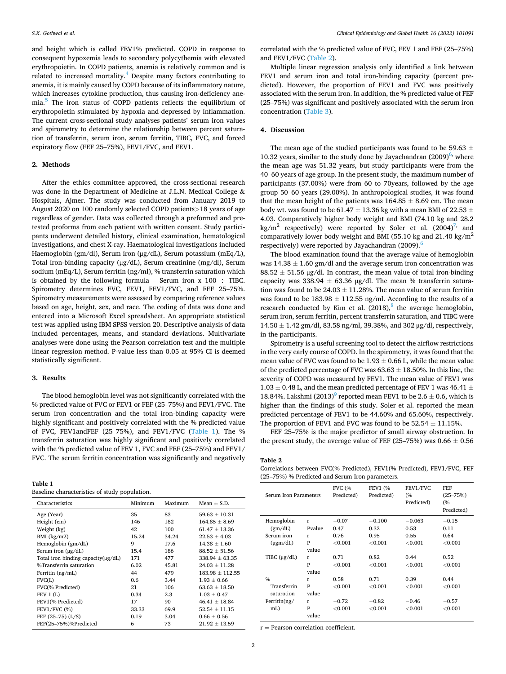and height which is called FEV1% predicted. COPD in response to consequent hypoxemia leads to secondary polycythemia with elevated erythropoietin. In COPD patients, anemia is relatively common and is related to increased mortality.[4 Despite many factors contributing to](#page-3-0)  anemia, it is mainly caused by COPD because of its inflammatory nature, which increases cytokine production, thus causing iron-deficiency anemia.<sup>5</sup> The iron status of COPD patients reflects the equilibrium of erythropoietin stimulated by hypoxia and depressed by inflammation. The current cross-sectional study analyses patients' serum iron values and spirometry to determine the relationship between percent saturation of transferrin, serum iron, serum ferritin, TIBC, FVC, and forced expiratory flow (FEF 25–75%), FEV1/FVC, and FEV1.

#### **2. Methods**

After the ethics committee approved, the cross-sectional research was done in the Department of Medicine at J.L.N. Medical College & Hospitals, Ajmer. The study was conducted from January 2019 to August 2020 on 100 randomly selected COPD patients*>*18 years of age regardless of gender. Data was collected through a preformed and pretested proforma from each patient with written consent. Study participants underwent detailed history, clinical examination, hematological investigations, and chest X-ray. Haematological investigations included Haemoglobin (gm/dl), Serum iron (μg/dL), Serum potassium (mEq/L), Total iron-binding capacity (μg/dL), Serum creatinine (mg/dl), Serum sodium (mEq/L), Serum ferritin (ng/ml), % transferrin saturation which is obtained by the following formula – Serum iron  $x$  100  $\div$  TIBC. Spirometry determines FVC, FEV1, FEV1/FVC, and FEF 25–75%. Spirometry measurements were assessed by comparing reference values based on age, height, sex, and race. The coding of data was done and entered into a Microsoft Excel spreadsheet. An appropriate statistical test was applied using IBM SPSS version 20. Descriptive analysis of data included percentages, means, and standard deviations. Multivariate analyses were done using the Pearson correlation test and the multiple linear regression method. P-value less than 0.05 at 95% CI is deemed statistically significant.

## **3. Results**

The blood hemoglobin level was not significantly correlated with the % predicted value of FVC or FEV1 or FEF (25–75%) and FEV1/FVC. The serum iron concentration and the total iron-binding capacity were highly significant and positively correlated with the % predicted value of FVC, FEV1andFEF (25–75%), and FEV1/FVC (Table 1). The % transferrin saturation was highly significant and positively correlated with the % predicted value of FEV 1, FVC and FEF (25–75%) and FEV1/ FVC. The serum ferritin concentration was significantly and negatively

#### **Table 1**

Baseline characteristics of study population.

| Characteristics                          | Minimum | Maximum | Mean $\pm$ S.D.   |
|------------------------------------------|---------|---------|-------------------|
| Age (Year)                               | 35      | 83      | $59.63 + 10.31$   |
| Height (cm)                              | 146     | 182     | $164.85 \pm 8.69$ |
| Weight (kg)                              | 42      | 100     | $61.47 \pm 13.36$ |
| BMI (kg/m2)                              | 15.24   | 34.24   | $22.53 \pm 4.03$  |
| Hemoglobin (gm/dL)                       | 9       | 17.6    | $14.38 \pm 1.60$  |
| Serum iron $(\mu g/dL)$                  | 15.4    | 186     | $88.52 + 51.56$   |
| Total iron binding capacity $(\mu g/dL)$ | 171     | 477     | $338.94 + 63.35$  |
| %Transferrin saturation                  | 6.02    | 45.81   | $24.03 + 11.28$   |
| Ferritin (ng/mL)                         | 44      | 479     | $183.98 + 112.55$ |
| FVC(L)                                   | 0.6     | 3.44    | $1.93 + 0.66$     |
| FVC(% Predicted)                         | 21      | 106     | $63.63 + 18.50$   |
| FEV1(L)                                  | 0.34    | 2.3     | $1.03 + 0.47$     |
| FEV1(% Predicted)                        | 17      | 90      | $46.41 \pm 18.84$ |
| <b>FEV1/FVC (%)</b>                      | 33.33   | 69.9    | $52.54 \pm 11.15$ |
| FEF $(25-75)$ $(L/S)$                    | 0.19    | 3.04    | $0.66 \pm 0.56$   |
| FEF(25-75%)%Predicted                    | 6       | 73      | $21.92 + 13.59$   |

correlated with the % predicted value of FVC, FEV 1 and FEF (25–75%) and FEV1/FVC (Table 2).

Multiple linear regression analysis only identified a link between FEV1 and serum iron and total iron-binding capacity (percent predicted). However, the proportion of FEV1 and FVC was positively associated with the serum iron. In addition, the % predicted value of FEF (25–75%) was significant and positively associated with the serum iron concentration ([Table 3\)](#page-2-0).

## **4. Discussion**

The mean age of the studied participants was found to be 59.63  $\pm$ 10.32 years, similar to the study done by Jayachandran (2009)<sup>6,</sup> where the mean age was 51.32 years, but study participants were from the 40–60 years of age group. In the present study, the maximum number of participants (37.00%) were from 60 to 70years, followed by the age group 50–60 years (29.00%). In anthropological studies, it was found that the mean height of the patients was  $164.85 \pm 8.69$  cm. The mean body wt. was found to be 61.47  $\pm$  13.36 kg with a mean BMI of 22.53  $\pm$ 4.03. Comparatively higher body weight and BMI (74.10 kg and 28.2 kg/m<sup>2</sup> respectively) were reported by Soler et al.  $(2004)^7$ , and comparatively lower body weight and BMI (55.10 kg and 21.40 kg/ $m^2$ ) respectively) were reported by Jayachandran  $(2009)$ .

The blood examination found that the average value of hemoglobin was  $14.38 \pm 1.60$  gm/dl and the average serum iron concentration was  $88.52 \pm 51.56$  μg/dl. In contrast, the mean value of total iron-binding capacity was 338.94  $\pm$  63.36 μg/dl. The mean % transferrin saturation was found to be  $24.03 \pm 11.28$ %. The mean value of serum ferritin was found to be  $183.98 \pm 112.55$  ng/ml. According to the results of a research conducted by Kim et al.  $(2018)$ <sup>8</sup>, the average hemoglobin, serum iron, serum ferritin, percent transferrin saturation, and TIBC were  $14.50 \pm 1.42$  gm/dl, 83.58 ng/ml, 39.38%, and 302 µg/dl, respectively, in the participants.

Spirometry is a useful screening tool to detect the airflow restrictions in the very early course of COPD. In the spirometry, it was found that the mean value of FVC was found to be  $1.93 \pm 0.66$  L, while the mean value of the predicted percentage of FVC was  $63.63 \pm 18.50$ %. In this line, the severity of COPD was measured by FEV1. The mean value of FEV1 was  $1.03 \pm 0.48$  L, and the mean predicted percentage of FEV 1 was 46.41  $\pm$ 18.84%. Lakshmi (2013)<sup>9</sup> reported mean FEV1 to be 2.6  $\pm$  0.6, which is higher than the findings of this study. Soler et al. reported the mean predicted percentage of FEV1 to be 44.60% and 65.60%, respectively. The proportion of FEV1 and FVC was found to be  $52.54 \pm 11.15$ %.

FEF 25–75% is the major predictor of small airway obstruction. In the present study, the average value of FEF (25–75%) was 0.66  $\pm$  0.56

#### **Table 2**

Correlations between FVC(% Predicted), FEV1(% Predicted), FEV1/FVC, FEF (25–75%) % Predicted and Serum Iron parameters.

| Serum Iron Parameters     |                 | <b>FVC (%</b><br>Predicted) | <b>FEV1 (%</b><br>Predicted) | FEV1/FVC<br>(%<br>Predicted) | FEF<br>$(25 - 75%)$<br>(%<br>Predicted) |
|---------------------------|-----------------|-----------------------------|------------------------------|------------------------------|-----------------------------------------|
| Hemoglobin<br>(gm/dL)     | r<br>Pvalue     | $-0.07$<br>0.47             | $-0.100$<br>0.32             | $-0.063$<br>0.53             | $-0.15$<br>0.11                         |
| Serum iron                | r               | 0.76                        | 0.95                         | 0.55                         | 0.64                                    |
| $(\mu$ gm/dL)             | P<br>value      | ${<}0.001$                  | < 0.001                      | ${<}0.001$                   | ${<}0.001$                              |
| TIBC $(\mu g/dL)$         | r<br>P<br>value | 0.71<br>< 0.001             | 0.82<br>< 0.001              | 0.44<br>< 0.001              | 0.52<br>${<}0.001$                      |
| $\frac{0}{0}$             | r               | 0.58                        | 0.71                         | 0.39                         | 0.44                                    |
| Transferrin<br>saturation | P<br>value      | ${<}0.001$                  | ${<}0.001$                   | ${<}0.001$                   | ${<}0.001$                              |
| Ferritin $(ng/$           | r               | $-0.72$                     | $-0.82$                      | $-0.46$                      | $-0.57$                                 |
| mL)                       | P<br>value      | ${<}0.001$                  | ${<}0.001$                   | ${<}0.001$                   | ${<}0.001$                              |

 $r =$  Pearson correlation coefficient.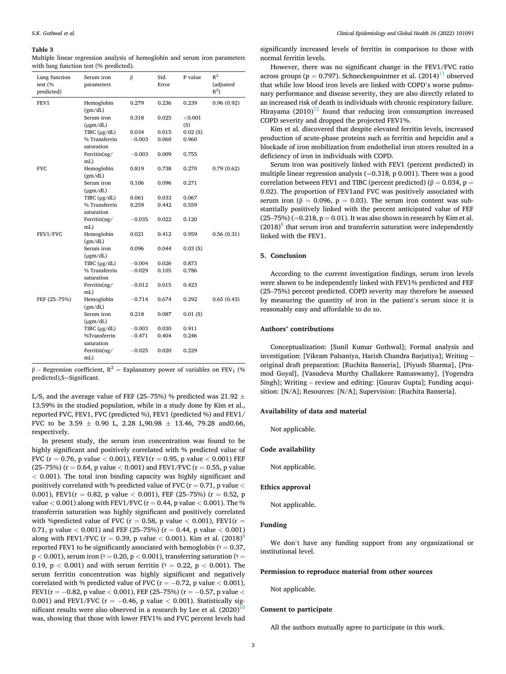#### <span id="page-2-0"></span>**Table 3**

Multiple linear regression analysis of hemoglobin and serum iron parameters with lung function test (% predicted).

| Lung function<br>test (%<br>predicted) | Serum iron<br>parameters    | β        | Std.<br>Error | P value           | $R^2$<br>(adjusted<br>$R^2$ |
|----------------------------------------|-----------------------------|----------|---------------|-------------------|-----------------------------|
| FEV1                                   | Hemoglobin                  | 0.279    | 0.236         | 0.239             | 0.96(0.92)                  |
|                                        | (gm/dL)                     |          |               |                   |                             |
|                                        | Serum iron<br>$(\mu$ gm/dL) | 0.318    | 0.025         | ${<}0.001$<br>(S) |                             |
|                                        | TIBC $(\mu g/dL)$           | 0.034    | 0.015         | 0.02(S)           |                             |
|                                        | % Transferrin               | $-0.003$ | 0.060         | 0.960             |                             |
|                                        | saturation                  |          |               |                   |                             |
|                                        | Ferritin(ng/                | $-0.003$ | 0.009         | 0.755             |                             |
|                                        | mL)                         |          |               |                   |                             |
| <b>FVC</b>                             | Hemoglobin<br>(gm/dL)       | 0.819    | 0.738         | 0.270             | 0.79(0.62)                  |
|                                        | Serum iron<br>$(\mu$ gm/dL) | 0.106    | 0.096         | 0.271             |                             |
|                                        | TIBC $(\mu g/dL)$           | 0.061    | 0.033         | 0.067             |                             |
|                                        | % Transferrin               | 0.259    | 0.442         | 0.559             |                             |
|                                        | saturation                  |          |               |                   |                             |
|                                        | Ferritin(ng/<br>mL)         | $-0.035$ | 0.022         | 0.120             |                             |
| FEV1/FVC                               | Hemoglobin<br>(gm/dL)       | 0.021    | 0.412         | 0.959             | 0.56(0.31)                  |
|                                        | Serum iron<br>$(\mu$ gm/dL) | 0.096    | 0.044         | 0.03(S)           |                             |
|                                        | TIBC $(\mu g/dL)$           | $-0.004$ | 0.026         | 0.873             |                             |
|                                        | % Transferrin               | $-0.029$ | 0.105         | 0.786             |                             |
|                                        | saturation                  |          |               |                   |                             |
|                                        | Ferritin(ng/<br>mL)         | $-0.012$ | 0.015         | 0.423             |                             |
| FEF (25-75%)                           | Hemoglobin<br>(gm/dL)       | $-0.714$ | 0.674         | 0.292             | 0.65(0.43)                  |
|                                        | Serum iron                  | 0.218    | 0.087         | 0.01(S)           |                             |
|                                        | $(\mu$ gm/dL)               |          |               |                   |                             |
|                                        | TIBC $(\mu g/dL)$           | $-0.003$ | 0.030         | 0.911             |                             |
|                                        | %Transferrin                | $-0.471$ | 0.404         | 0.246             |                             |
|                                        | saturation                  |          |               |                   |                             |
|                                        | Ferritin(ng/<br>mL)         | $-0.025$ | 0.020         | 0.229             |                             |
|                                        |                             |          |               |                   |                             |

β – Regression coefficient,  $R^2$  = Explanatory power of variables on FEV<sub>1</sub> (% predicted),S=Significant.

L/S, and the average value of FEF (25–75%) % predicted was 21.92  $\pm$ 13.59% in the studied population, while in a study done by Kim et al., reported FVC, FEV1, FVC (predicted %), FEV1 (predicted %) and FEV1/ FVC to be 3.59  $\pm$  0.90 L, 2.28 L, 90.98  $\pm$  13.46, 79.28 and 0.66, respectively.

In present study, the serum iron concentration was found to be highly significant and positively correlated with % predicted value of FVC ( $r = 0.76$ ,  $p$  value  $< 0.001$ ),  $FEV1(r = 0.95, p$  value  $< 0.001) FEF$ (25–75%) ( $r = 0.64$ , p value  $< 0.001$ ) and FEV1/FVC ( $r = 0.55$ , p value *<* 0.001). The total iron binding capacity was highly significant and positively correlated with % predicted value of FVC (r = 0.71, p value *<* 0.001), FEV1( $r = 0.82$ , p value  $\lt 0.001$ ), FEF (25–75%) ( $r = 0.52$ , p value *<* 0.001) along with FEV1/FVC (r = 0.44, p value *<* 0.001). The % transferrin saturation was highly significant and positively correlated with %predicted value of FVC ( $r = 0.58$ , p value  $< 0.001$ ), FEV1( $r =$ 0.71, p value *<* 0.001) and FEF (25–75%) (r = 0.44, p value *<* 0.001) along with FEV1/FVC ( $r = 0.39$ , p value  $< 0.001$ ). Kim et al. (2018)<sup>8</sup> reported FEV1 to be significantly associated with hemoglobin ( $v = 0.37$ ,  $p < 0.001$ ), serum iron ( $\gamma = 0.20$ ,  $p < 0.001$ ), transferring saturation ( $\gamma =$ 0.19,  $p < 0.001$ ) and with serum ferritin ( $\gamma = 0.22$ ,  $p < 0.001$ ). The serum ferritin concentration was highly significant and negatively correlated with % predicted value of FVC ( $r = -0.72$ , p value < 0.001), FEV1(r = − 0.82, p value *<* 0.001), FEF (25–75%) (r = − 0.57, p value *<* 0.001) and FEV1/FVC (r = − 0.46, p value *<* 0.001). Statistically significant results were also observed in a research by Lee et al.  $(2020)^{10}$ was, showing that those with lower FEV1% and FVC percent levels had significantly increased levels of ferritin in comparison to those with normal ferritin levels.

However, there was no significant change in the FEV1/FVC ratio across groups ( $p = 0.797$ ). Schneckenpointner et al.  $(2014)^{11}$  observed that while low blood iron levels are linked with COPD's worse pulmonary performance and disease severity, they are also directly related to an increased risk of death in individuals with chronic respiratory failure. Hirayama  $(2010)^{12}$  found that reducing iron consumption increased COPD severity and dropped the projected FEV1%.

Kim et al. discovered that despite elevated ferritin levels, increased production of acute-phase proteins such as ferritin and hepcidin and a blockade of iron mobilization from endothelial iron stores resulted in a deficiency of iron in individuals with COPD.

Serum iron was positively linked with FEV1 (percent predicted) in multiple linear regression analysis  $(=0.318, p 0.001)$ . There was a good correlation between FEV1 and TIBC (percent predicted) ( $β = 0.034$ ,  $p =$ 0.02). The proportion of FEV1and FVC was positively associated with serum iron ( $\beta = 0.096$ ,  $p = 0.03$ ). The serum iron content was substantially positively linked with the percent anticipated value of FEF  $(25–75%) (=0.218, p = 0.01)$ . It was also shown in research by Kim et al.  $(2018)^8$  that serum iron and transferrin saturation were independently linked with the FEV1.

#### **5. Conclusion**

According to the current investigation findings, serum iron levels were shown to be independently linked with FEV1% predicted and FEF (25–75%) percent predicted. COPD severity may therefore be assessed by measuring the quantity of iron in the patient's serum since it is reasonably easy and affordable to do so.

## **Authors' contributions**

Conceptualization: [Sunil Kumar Gothwal]; Formal analysis and investigation: [Vikram Palsaniya, Harish Chandra Barjatiya]; Writing – original draft preparation: [Ruchita Banseria], [Piyush Sharma], [Pramod Goyal], [Vasudeva Murthy Challakere Ramaswamy], [Yogendra Singh]; Writing – review and editing: [Gaurav Gupta]; Funding acquisition: [N/A]; Resources: [N/A]; Supervision: [Ruchita Banseria].

## **Availability of data and material**

Not applicable.

## **Code availability**

Not applicable.

## **Ethics approval**

Not applicable.

## **Funding**

We don't have any funding support from any organizational or institutional level.

## **Permission to reproduce material from other sources**

Not applicable.

#### **Consent to participate**

All the authors mutually agree to participate in this work.